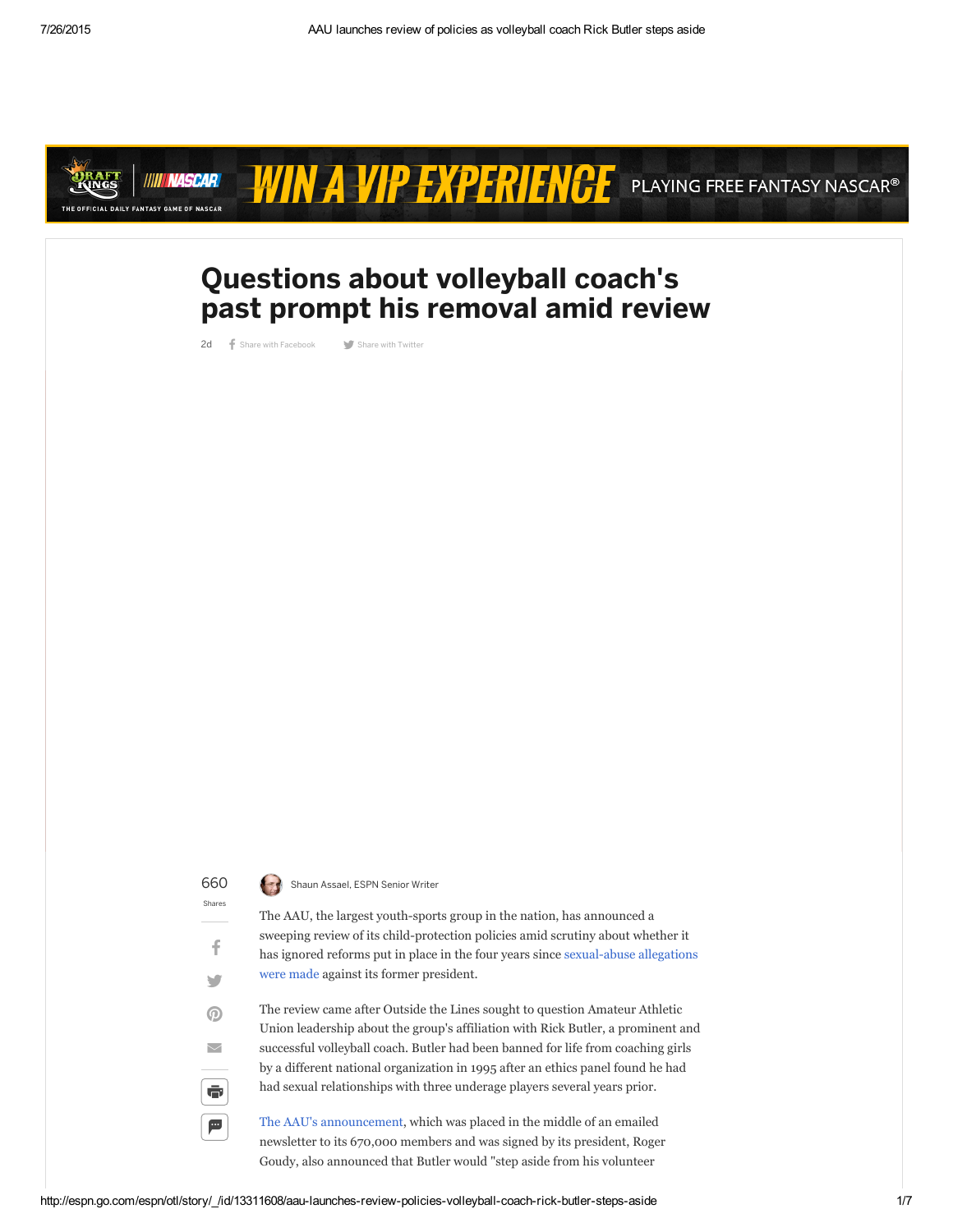

# WIN A VIP EXPERIENCE PLAYING FREE FANTASY NASCAR®

## Questions about volleyball coach's past prompt his removal amid review

2d f Share with [Facebook](https://www.facebook.com/sharer.php?u=http%3A%2F%2Fes.pn%2F1MphmPx) Share with [Twitter](http://twitter.com/intent/tweet?url=http%3A%2F%2Fes.pn%2F1MphmPx&text=Questions+about+volleyball+coach%27s+past+prompt+his+removal+amid+review)

660 Shaun Assael, ESPN Senior Writer

Shares

f

 $\blacksquare$ 

 $\odot$ 

 $\overline{\smile}$ 

 $\ddot{\bullet}$ 

£

The AAU, the largest youth-sports group in the nation, has announced a sweeping review of its child-protection policies amid scrutiny about whether it has ignored reforms put in place in the four years since sexual-abuse allegations were made against its former president.

The review came after Outside the Lines sought to question Amateur Athletic Union leadership about the group's affiliation with Rick Butler, a prominent and successful volleyball coach. Butler had been banned for life from coaching girls by a different national organization in 1995 after an ethics panel found he had had sexual relationships with three underage players several years prior.

The AAU's [announcement](http://www.espn.go.com/pdf/2015/0702/espn_otl_AAUstatement.pdf), which was placed in the middle of an emailed newsletter to its 670,000 members and was signed by its president, Roger Goudy, also announced that Butler would "step aside from his volunteer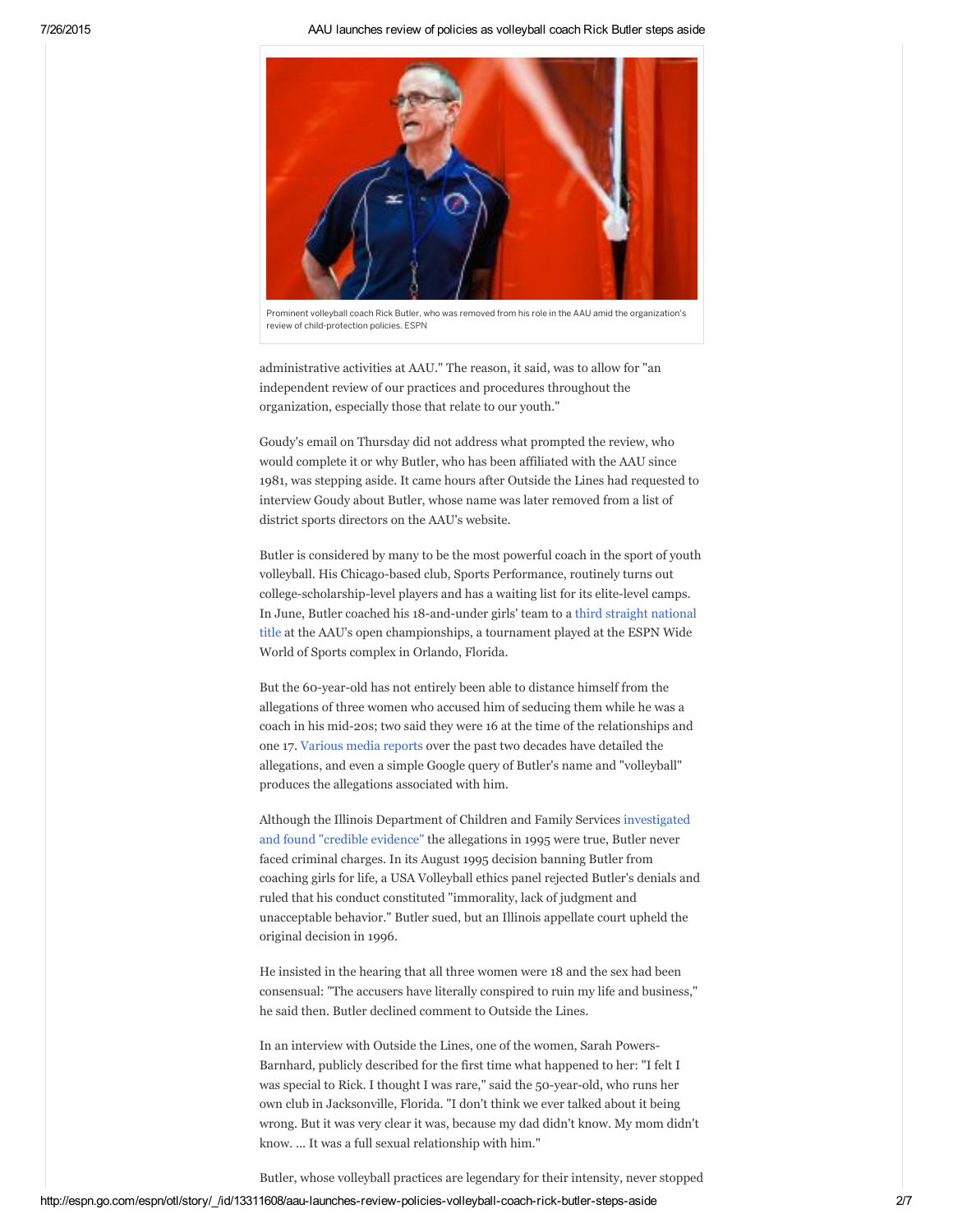7/26/2015 AAU launches review of policies as volleyball coach Rick Butler steps aside



Prominent volleyball coach Rick Butler, who was removed from his role in the AAU amid the organization's review of child-protection policies. ESPN

adm[inistrative](http://twitter.com/Royals/status/625379274673950720/photo/1) activities at AAU." The reason, it said, was to allow for "an independent review of our practices and procedures throug[hout](https://twitter.com/Royals) the organization, [especially](https://twitter.com/Royals) those that relate to our youth."

Goudy's [email](https://twitter.com/hashtag/Royals?src=hash) on [Thursday](https://twitter.com/hashtag/ForeverRoyal?src=hash) did not address what prompted the review, who would complete it or why Butler, who has been affiliated with the AAU since 1981, was [stepping](https://twitter.com/Royals/status/625379274673950720) aside. It came hours after [Outside](https://twitter.com/search?q=place%3A9a974dfc8efb32a0) the Lines had requested to intervie[w](https://twitter.com/intent/tweet?in_reply_to=625379274673950720) Goudy [about](https://twitter.com/intent/retweet?tweet_id=625379274673950720) B[utler,](https://twitter.com/intent/favorite?tweet_id=625379274673950720) whose name was later removed from a list of district sports directors on the AAU's website.

Butler is considered by many to be the most powerful coach in the sport of youth volleyball. His Chicago-based club, Sports Performance, routinely turns out college-scholarship-level players and has a waiting list for its elite-level camps. In June, Butler coached his 18-and-under girls' team to a third straight national title at the AAU's open [championships,](http://bit.ly/1RNrEh5) a tournament played at the ESPN Wide World of Sports complex in Orlando, Florida.

But the 60-year-old has not entirely been able to distance himself from the allegations of three women who accused him of seducing them while he was a coach in his mid-20s; two said they were 16 at the time of the relationships and one 17. [Various](http://www.yumpu.com/en/document/view/8476527/sex-lies-and-volleyball-chicago-magazine-cynthia-hanson) media reports over the past two decades have detailed the allegations, and even a simple Google query of Butler's name and "volleyball" produces the allegations associated with him.

Although the Illinois [Department](http://www.caribplanet.com/community/archive/index.php/t-35056.html) of Children and Family Services investigated and found "credible evidence" the allegations in 1995 were true, Butler never faced criminal charges. In its August 1995 decision banning Butler from coaching girls for life, a USA Volleyball ethics panel rejected Butler's denials and ruled that his conduct constituted "immorality, lack of judgment and unacceptable behavior." Butler sued, but an Illinois appellate court upheld the original decision in 1996.

He insisted in the hearing that all three women were 18 and the sex had been consensual: "The accusers have literally conspired to ruin my life and business," he said then. Butler declined comment to Outside the Lines.

In an interview with Outside the Lines, one of the women, Sarah Powers-Barnhard, publicly described for the first time what happened to her: "I felt I was special to Rick. I thought I was rare," said the 50-year-old, who runs her own club in Jacksonville, Florida. "I don't think we ever talked about it being wrong. But it was very clear it was, because my dad didn't know. My mom didn't know. ... It was a full sexual relationship with him."

Butler, whose volleyball practices are legendary for their intensity, never stopped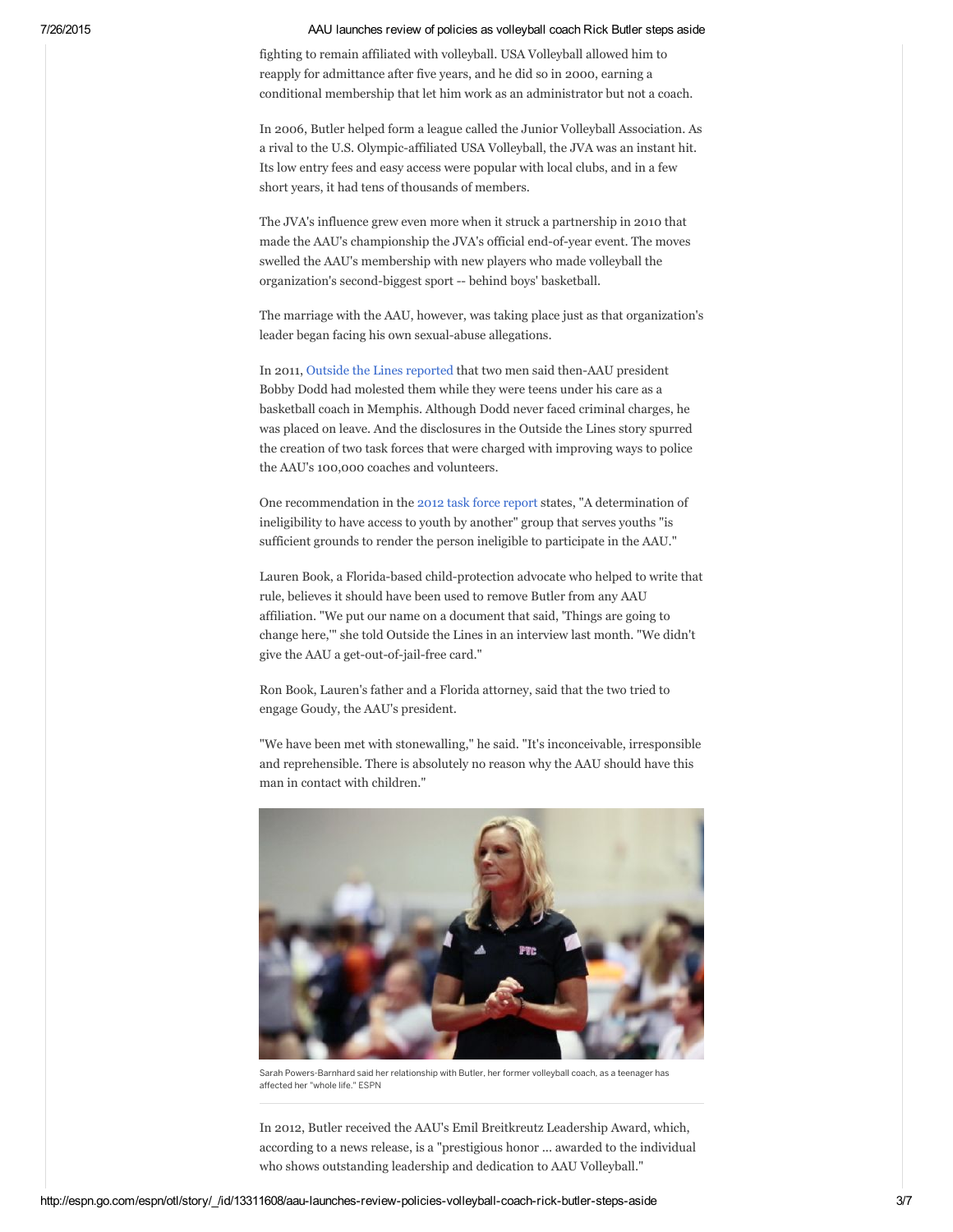### 7/26/2015 AAU launches review of policies as volleyball coach Rick Butler steps aside

fighting to remain affiliated with volleyball. USA Volleyball allowed him to reapply for admittance after five years, and he did so in 2000, earning a conditional membership that let him work as an administrator but not a coach.

In 2006, Butler helped form a league called the Junior Volleyball Association. As a rival to the U.S. Olympic-affiliated USA Volleyball, the JVA was an instant hit. Its low entry fees and easy access were popular with local clubs, and in a few short years, it had tens of thousands of members.

The JVA's influence grew even more when it struck a partnership in 2010 that made the AAU's championship the JVA's official end-of-year event. The moves swelled the AAU's membership with new players who made volleyball the organization's second-biggest sport -- behind boys' basketball.

The marriage with the AAU, however, was taking place just as that organization's leader began facing his own sexual-abuse allegations.

In 2011, Outside the Lines [reported](http://espn.go.com/espn/otl/story/_/id/7332846/ex-players-say-aau-bobby-dodd-sexually-abused-youths) that two men said then-AAU president Bobby Dodd had molested them while they were teens under his care as a basketball coach in Memphis. Although Dodd never faced criminal charges, he was placed on leave. And the disclosures in the Outside the Lines story spurred the creation of two task forces that were charged with improving ways to police the AAU's 100,000 coaches and volunteers.

One recommendation in the 2012 task force [report](http://espn.go.com/espn/story/_/id/8043188/aau-new-background-screening-begin-september) states, "A determination of ineligibility to have access to youth by another" group that serves youths "is sufficient grounds to render the person ineligible to participate in the AAU."

Lauren Book, a Florida-based child-protection advocate who helped to write that rule, believes it should have been used to remove Butler from any AAU affiliation. "We put our name on a document that said, 'Things are going to change here,'" she told Outside the Lines in an interview last month. "We didn't give the AAU a get-out-of-jail-free card."

Ron Book, Lauren's father and a Florida attorney, said that the two tried to engage Goudy, the AAU's president.

"We have been met with stonewalling," he said. "It's inconceivable, irresponsible and reprehensible. There is absolutely no reason why the AAU should have this man in contact with children."



Sarah Powers-Barnhard said her relationship with Butler, her former volleyball coach, as a teenager has affected her "whole life." ESPN

In 2012, Butler received the AAU's Emil Breitkreutz Leadership Award, which, according to a news release, is a "prestigious honor ... awarded to the individual who shows outstanding leadership and dedication to AAU Volleyball."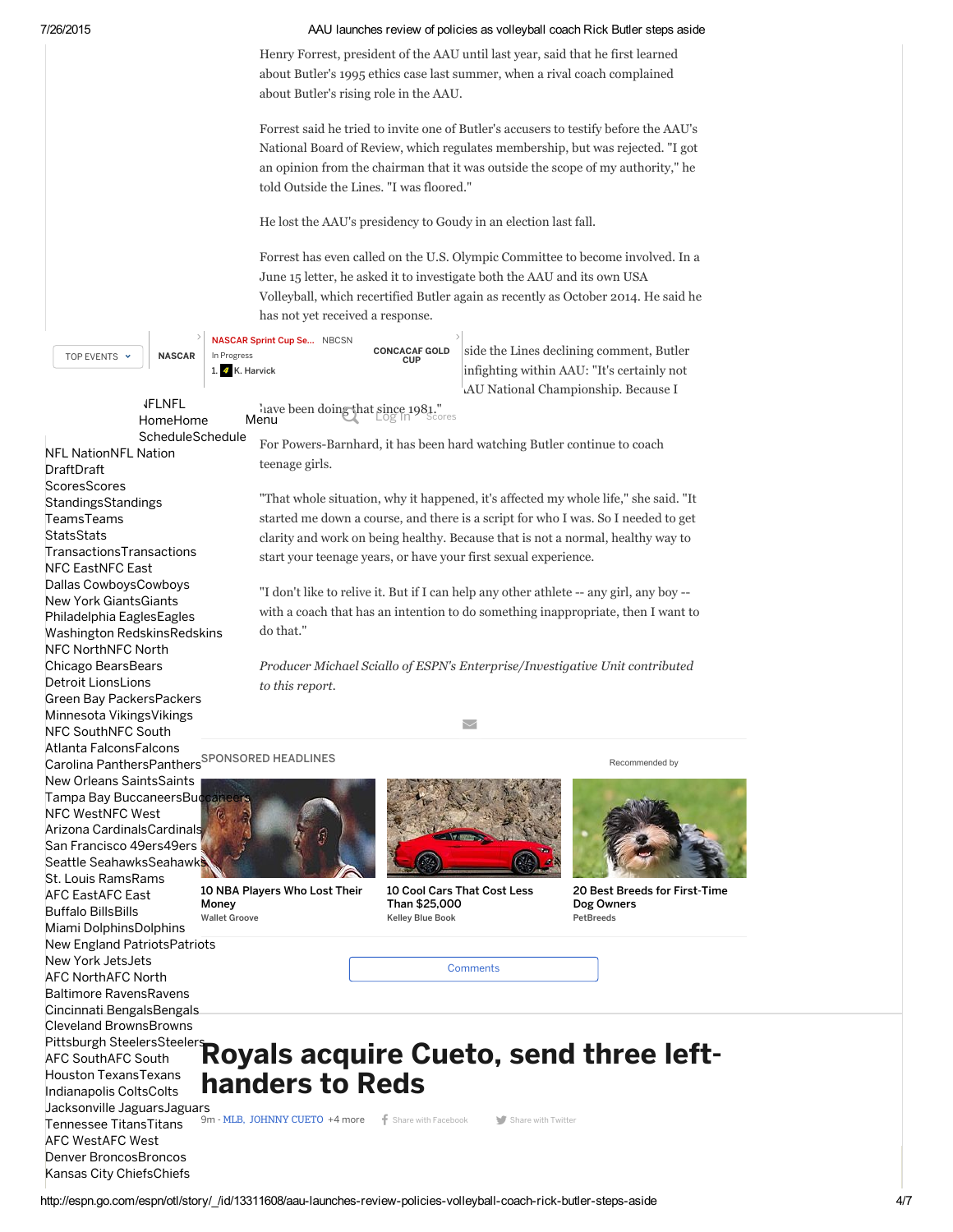### 7/26/2015 AAU launches review of policies as volleyball coach Rick Butler steps aside

Henry Forrest, president of the AAU until last year, said that he first learned about Butler's 1995 ethics case last summer, when a rival coach complained about Butler's rising role in the AAU.

Forrest said he tried to invite one of Butler's accusers to testify before the AAU's National Board of Review, which regulates membership, but was rejected. "I got an opinion from the chairman that it was outside the scope of my authority," he told Outside the Lines. "I was floored."

He lost the AAU's presidency to Goudy in an election last fall.

Forrest has even called on the U.S. Olympic Committee to become involved. In a June 15 letter, he asked it to investigate both the AAU and its own USA Volleyball, which recertified Butler again as recently as October 2014. He said he has not yet received a response.

 $>$ |

side the Lines declining [comment,](http://espn.go.com/mlb/gamecast?gameId=350726103) Butler [infighting](http://www.espnfc.com/gamecast/430265/gamecast.html) within AAU: "It's certainly not AU National Championship. Because I

| TOP EVENTS Y | <b>NASCAR</b> | NASCAR Sprint Cup Se NBCSN<br>In Progress | <b>CONCACAF GOLD</b><br><b>CUP</b> |
|--------------|---------------|-------------------------------------------|------------------------------------|
|              |               | 1. 4 K. Harvick                           |                                    |

[NFLNFL](http://espn.go.com/nfl/) [HomeHome](http://espn.go.com/nfl/)

NFL [NationNFL](http://espn.go.com/blog/nflnation) Nation

[TransactionsTransactions](http://espn.go.com/nfl/transactions) NFC [EastNFC](http://espn.go.com/blog/nfceast) East

Dallas [CowboysCowboys](http://espn.go.com/blog/dallas-cowboys) New York [GiantsGiants](http://espn.go.com/blog/new-york-giants) Philadelphia [EaglesEagles](http://espn.go.com/blog/philadelphia-eagles) Washington [RedskinsRedskins](http://espn.go.com/blog/washington-redskins)

NFC [NorthNFC](http://espn.go.com/blog/nfcnorth) North

Chicago [BearsBears](http://espn.go.com/blog/chicago-bears) Detroit [LionsLions](http://espn.go.com/blog/detroit-lions) Green Bay [PackersPackers](http://espn.go.com/blog/green-bay-packers) Minnesota [VikingsVikings](http://espn.go.com/blog/minnesota-vikings)

NFC [SouthNFC](http://espn.go.com/blog/nfcsouth) South

Atlanta [FalconsFalcons](http://espn.go.com/blog/atlanta-falcons)

NFC [WestNFC](http://espn.go.com/blog/nfcwest) West

AFC [EastAFC](http://espn.go.com/blog/afceast) East

Buffalo [BillsBills](http://espn.go.com/blog/buffalo-bills) Miami [DolphinsDolphins](http://espn.go.com/blog/miami-dolphins) New England [PatriotsPatriots](http://espn.go.com/blog/new-england-patriots)

St. Louis [RamsRams](http://espn.go.com/blog/st-louis-rams)

AFC [NorthAFC](http://espn.go.com/blog/afcnorth) North

Baltimore [RavensRavens](http://espn.go.com/blog/baltimore-ravens) Cincinnati [BengalsBengals](http://espn.go.com/blog/cincinnati-bengals) Cleveland [BrownsBrowns](http://espn.go.com/blog/cleveland-browns) Pittsburgh [SteelersSteelers](http://espn.go.com/blog/pittsburgh-steelers)

Houston [TexansTexans](http://espn.go.com/blog/houston-texans)

New York [JetsJets](http://espn.go.com/blog/new-york-jets)

[DraftDraft](http://espn.go.com/nfl/draft) **[ScoresScores](http://espn.go.com/nfl/scoreboard)** Standings [TeamsTeams](http://espn.go.com/nfl/teams) **[StatsStats](http://espn.go.com/nfl/statistics)** 

I ave been doing that since 1981."<br>Menu

For Powers-Barnhard, it has been hard watching Butler continue to coach teenage girls. [ScheduleSchedule](http://espn.go.com/nfl/schedule)

> "That whole situation, why it happened, it's affected my whole life," she said. "It started me down a course, and there is a script for who I was. So I needed to get clarity and work on being healthy. Because that is not a normal, healthy way to start your teenage years, or have your first sexual experience.

> "I don't like to relive it. But if I can help any other athlete -- any girl, any boy -with a coach that has an intention to do something inappropriate, then I want to do that."

Producer Michael Sciallo of ESPN's Enterprise/Investigative Unit contributed to this report.

 $\overline{\smile}$ 

Carolina [PanthersPanthers](http://espn.go.com/blog/carolina-panthers)<sup>SPONSORED HEADLINES</sup>



10 NBA Players Who Lost Their Money Wallet Groove



10 Cool Cars That Cost Less Than [\\$25,000](http://paid.outbrain.com/network/redir?p=gRFe2u7eefe6LMTip9xl-c2QK8DJeYkcuQtiy8RRI2DAMKmQCHXBJwGjU2PFSWEfyy-ABPVTzzfFWWqO24_chqP8TLKdCLE1rKQzNJOcnInA8r8fq-0I2R2wnReUteBgwwmek9UWfY6HZK4Wvc9R4-19cmanhqjgl7zxA8Efx43WLDWBKeXH-5lKcn87x6Y6oErfSPo4cbz9A-lEOdAXmqTq4h7LVutKA13Pfwff1bv3OvYG6F1Fm_jDiyTf9HVvdM1PKZLUppT28FTkegie3dgfmONqbTPYGGeS6IKARCVmOF-VueSwfygYO__EvQpBLPbV0ixqBGmisE73LuxRHLSqNEbMEsJr-aTRzg16r2ooOnj3BLB4cYvzHCGClFLW5L2ivvaD0T7dlHXOoXmq2nuMBf-3i-8kT1wq2t8B-lsNzfieJA7z-W4xcd5Lr6UUxU2I3Pm7JeYW2d3SJj1VB57JThCo514EPAOI3kNBOlLo7xVjyqPemUEddseGFz78L_AtqcJPhhqAKAFMYHuYFRjQzZdOI3AAKVzjdhupJxxXWo-S1a9SzWjbq99vb1B-FImuZaBOe3d_6N3-1suFcw&c=6afa52b2&v=3) Kelley Blue Book

Recommended by



20 Best Breeds for First-Time Dog Owners PetBreeds

**Comments** 

# AFC [SouthAFC](http://espn.go.com/blog/afcsouth) South **Royals acquire Cueto, send three left**handers to Reds

9m - MLB, JOHNNY CUETO +4 more f Share with [Facebook](https://www.facebook.com/sharer.php?u=http%3A%2F%2Fes.pn%2F1VHeJfZ) Share with [Twitter](http://twitter.com/intent/tweet?url=http%3A%2F%2Fes.pn%2F1VHeJfZ&text=Royals+acquire+Cueto,+send+three+left%2Dhanders+to+Reds)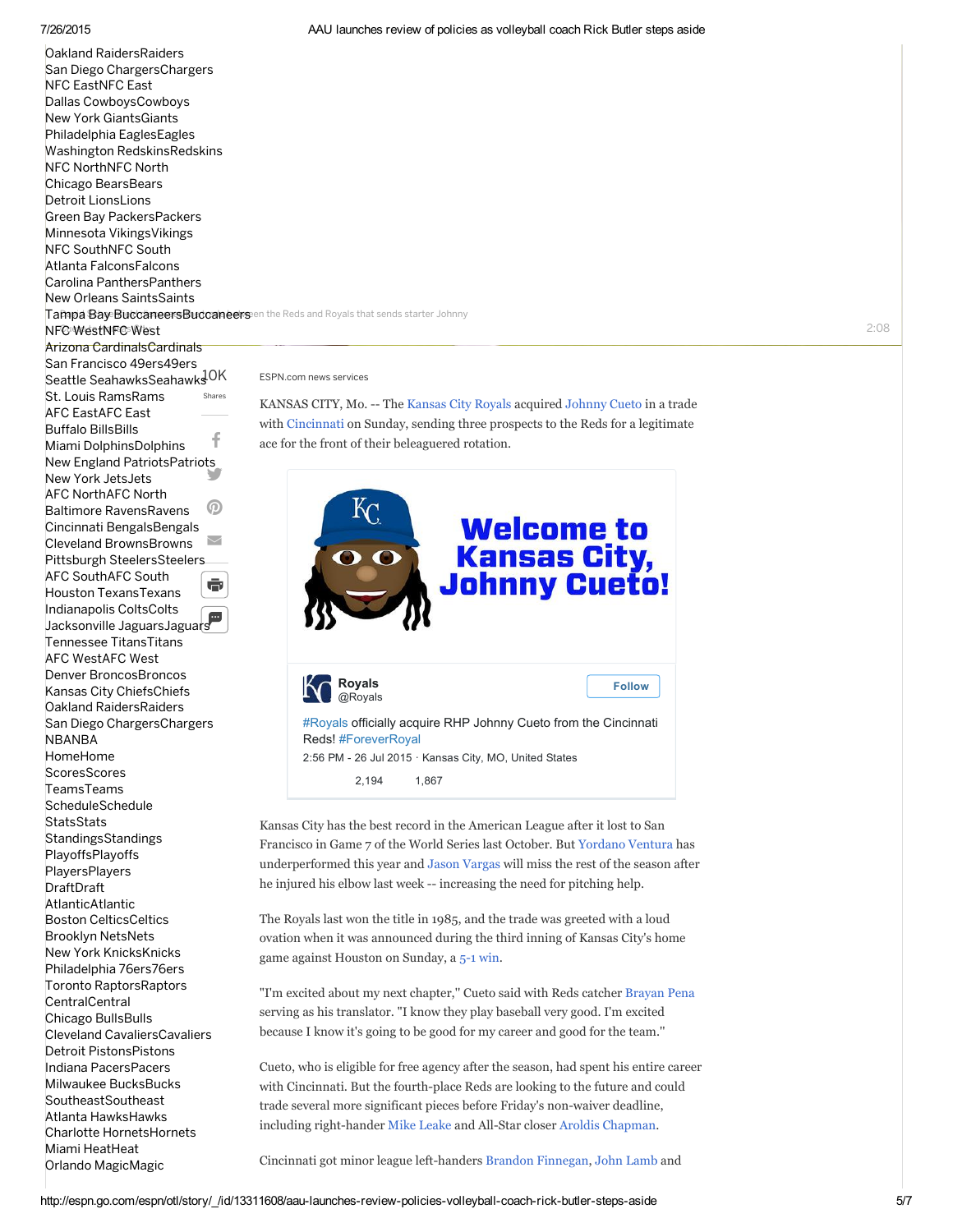Shares f y.  $\boldsymbol{\Omega}$ [@](http://sendtofriend.espn.go.com/sendtofriend/SendToFriend?id=13321634)  $\bar{\mathbf{e}}$  $\mathbb P$   $\vdash$ NFC WestNFC West NFC EastNFC East NFC NorthNFC North NFC SouthNFC South AFC EastAFC East AFC NorthAFC North AFC SouthAFC South AFC WestAFC West [NBANBA](http://espn.go.com/nba/) [HomeHome](http://espn.go.com/nba/) **[ScoresScores](http://espn.go.com/nba/scoreboard)** [TeamsTeams](http://espn.go.com/nba/teams) **[ScheduleSchedule](http://espn.go.com/nba/schedule) [StatsStats](http://espn.go.com/nba/statistics)** Standings [PlayoffsPlayoffs](http://espn.go.com/nba/playoffs/2015/story/_/page/playoffindex) **[PlayersPlayers](http://espn.go.com/nba/players)** [DraftDraft](http://espn.go.com/nba/draft) AtlanticAtlantic CentralCentral **SoutheastSoutheast** Oakland [RaidersRaiders](http://espn.go.com/blog/oakland-raiders) San Diego [ChargersChargers](http://espn.go.com/blog/san-diego-chargers) Dallas [CowboysCowboys](http://espn.go.com/nfl/team/_/name/dal/dallas-cowboys) New York [GiantsGiants](http://espn.go.com/nfl/team/_/name/nyg/new-york-giants) Philadelphia [EaglesEagles](http://espn.go.com/nfl/team/_/name/phi/philadelphia-eagles) Washington [RedskinsRedskins](http://espn.go.com/nfl/team/_/name/wsh/washington-redskins) Chicago [BearsBears](http://espn.go.com/nfl/team/_/name/chi/chicago-bears) Detroit [LionsLions](http://espn.go.com/nfl/team/_/name/det/detroit-lions) Green Bay [PackersPackers](http://espn.go.com/nfl/team/_/name/gb/green-bay-packers) Minnesota [VikingsVikings](http://espn.go.com/nfl/team/_/name/min/minnesota-vikings) Atlanta [FalconsFalcons](http://espn.go.com/nfl/team/_/name/atl/atlanta-falcons) Carolina [PanthersPanthers](http://espn.go.com/nfl/team/_/name/car/carolina-panthers) New Orleans [SaintsSaints](http://espn.go.com/nfl/team/_/name/no/new-orleans-saints) Arizona [CardinalsCardinals](http://espn.go.com/nfl/team/_/name/ari/arizona-cardinals) San Francisco [49ers49ers](http://espn.go.com/nfl/team/_/name/sf/san-francisco-49ers) Seattle [SeahawksSeahawks](http://espn.go.com/nfl/team/_/name/sea/seattle-seahawks)<sup>JOK</sup> St. Louis [RamsRams](http://espn.go.com/nfl/team/_/name/stl/st-louis-rams) Buffalo [BillsBills](http://espn.go.com/nfl/team/_/name/buf/buffalo-bills) Miami [DolphinsDolphins](http://espn.go.com/nfl/team/_/name/mia/miami-dolphins) New England [PatriotsPatriots](http://espn.go.com/nfl/team/_/name/ne/new-england-patriots) New York [JetsJets](http://espn.go.com/nfl/team/_/name/nyj/new-york-jets) Baltimore Ravens Ravens Cincinnati [BengalsBengals](http://espn.go.com/nfl/team/_/name/cin/cincinnati-bengals) Cleveland [BrownsBrowns](http://espn.go.com/nfl/team/_/name/cle/cleveland-browns) Pittsburgh [SteelersSteelers](http://espn.go.com/nfl/team/_/name/pit/pittsburgh-steelers) Houston [TexansTexans](http://espn.go.com/nfl/team/_/name/hou/houston-texans) [Indianapolis](http://espn.go.com/nfl/team/_/name/ind/indianapolis-colts) ColtsColts Jacksonville [JaguarsJaguars](http://espn.go.com/nfl/team/_/name/jax/jacksonville-jaguars) Tennessee [TitansTitans](http://espn.go.com/nfl/team/_/name/ten/tennessee-titans) Denver [BroncosBroncos](http://espn.go.com/nfl/team/_/name/den/denver-broncos) Kansas City [ChiefsChiefs](http://espn.go.com/nfl/team/_/name/kc/kansas-city-chiefs) Oakland [RaidersRaiders](http://espn.go.com/nfl/team/_/name/oak/oakland-raiders) San Diego [ChargersChargers](http://espn.go.com/nfl/team/_/name/sd/san-diego-chargers) Boston [CelticsCeltics](http://espn.go.com/nba/team/_/name/bos/boston-celtics) Brooklyn [NetsNets](http://espn.go.com/nba/team/_/name/bkn/brooklyn-nets) New York [KnicksKnicks](http://espn.go.com/nba/team/_/name/ny/new-york-knicks) [Philadelphia](http://espn.go.com/nba/team/_/name/phi/philadelphia-76ers) 76ers76ers Toronto [RaptorsRaptors](http://espn.go.com/nba/team/_/name/tor/toronto-raptors) Chicago [BullsBulls](http://espn.go.com/nba/team/_/name/chi/chicago-bulls) Cleveland [CavaliersCavaliers](http://espn.go.com/nba/team/_/name/cle/cleveland-cavaliers) Detroit [PistonsPistons](http://espn.go.com/nba/team/_/name/det/detroit-pistons) Indiana [PacersPacers](http://espn.go.com/nba/team/_/name/ind/indiana-pacers) Milwaukee [BucksBucks](http://espn.go.com/nba/team/_/name/mil/milwaukee-bucks) Atlanta [HawksHawks](http://espn.go.com/nba/team/_/name/atl/atlanta-hawks) Charlotte [HornetsHornets](http://espn.go.com/nba/team/_/name/cha/charlotte-hornets) Miami [HeatHeat](http://espn.go.com/nba/team/_/name/mia/miami-heat) Orlando [MagicMagic](http://espn.go.com/nba/team/_/name/orl/orlando-magic)

Tampa Bay Buccaneers Buccaneers en the Reds and Royals that sends starter Johnny

ESPN com news services

KANSAS CITY, Mo. -- The [Kansas](http://espn.go.com/mlb/team/_/name/kc/kansas-city-royals) City Royals acquired [Johnny](http://espn.go.com/mlb/player/_/id/28955/johnny-cueto) Cueto in a trade with [Cincinnati](http://espn.go.com/mlb/team/_/name/cin/cincinnati-reds) on Sunday, sending three prospects to the Reds for a legitimate ace for the front of their beleaguered rotation.



Kansas City has the best record in the American League after it lost to San Francisco in Game 7 of the World Series last October. But [Yordano](http://espn.go.com/mlb/player/_/id/31876/yordano-ventura) Ventura has underperformed this year and Jason [Vargas](http://espn.go.com/mlb/player/_/id/6352/jason-vargas) will miss the rest of the season after he injured his elbow last week -- increasing the need for pitching help.

The Royals last won the title in 1985, and the trade was greeted with a loud ovation when it was announced during the third inning of Kansas City's home game against Houston on Sunday, a 5-1 [win.](http://espn.go.com/mlb/recap?gameId=350726107)

"I'm excited about my next chapter,'' Cueto said with Reds catcher [Brayan](http://espn.go.com/mlb/player/_/id/6285/brayan-pena) Pena serving as his translator. "I know they play baseball very good. I'm excited because I know it's going to be good for my career and good for the team.''

Cueto, who is eligible for free agency after the season, had spent his entire career with Cincinnati. But the fourth-place Reds are looking to the future and could trade several more significant pieces before Friday's non-waiver deadline, including right-hander Mike [Leake](http://espn.go.com/mlb/player/_/id/30465/mike-leake) and All-Star closer Aroldis [Chapman.](http://espn.go.com/mlb/player/_/id/30442/aroldis-chapman)

Cincinnati got minor league left-handers Brandon [Finnegan,](http://espn.go.com/mlb/player/_/id/33633/brandon-finnegan) John [Lamb](http://espn.go.com/mlb/player/_/id/30994/john-lamb) and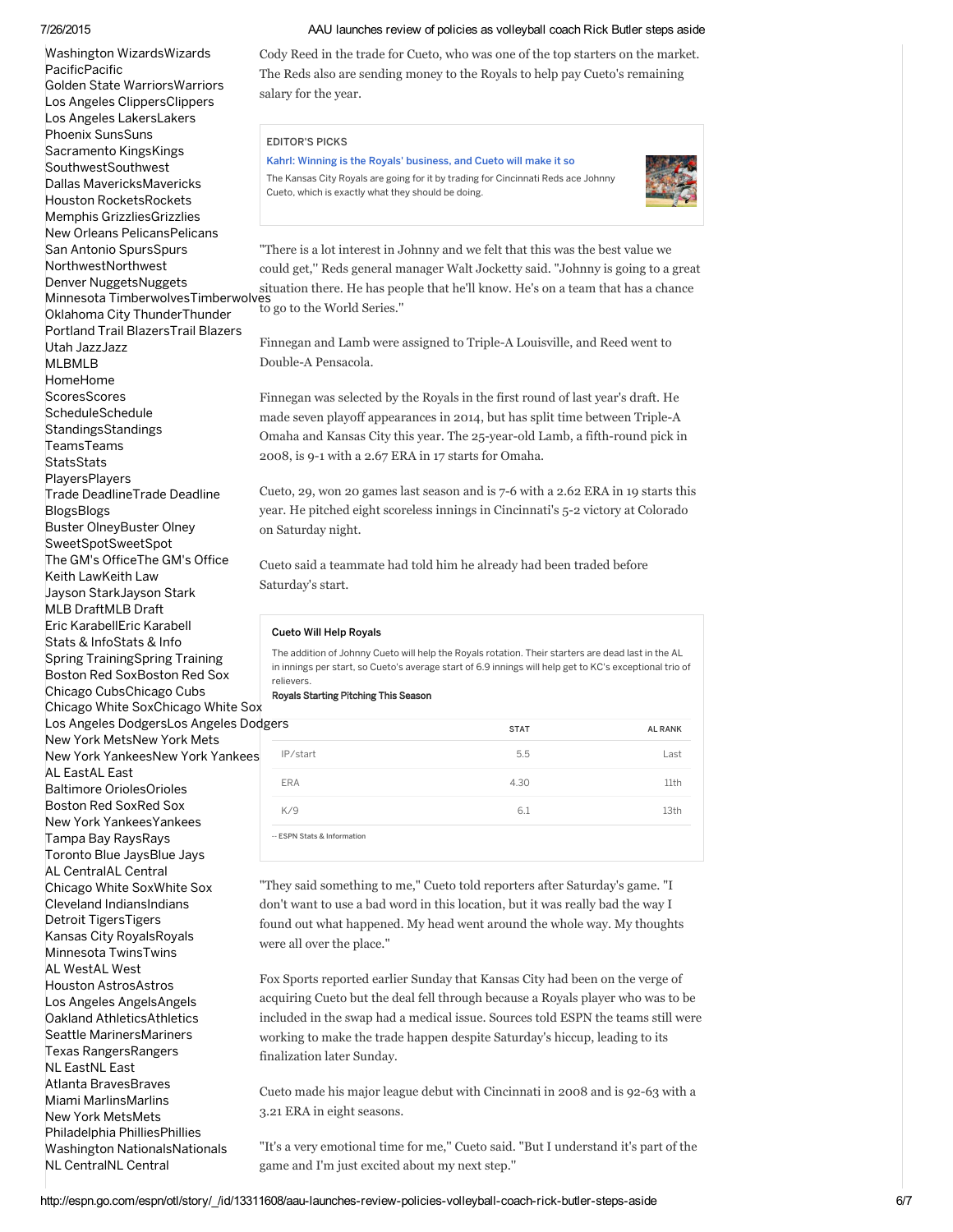### 7/26/2015

P a cific P a cific SouthwestSouthwest NorthwestNorthwest [M](http://espn.go.com/mlb/) L B M L B Ho[m](http://espn.go.com/mlb/)eHome [S](http://espn.go.com/mlb/scoreboard)cores Sched[ule](http://espn.go.com/mlb/schedule)<br>Schedule Stan[din](http://espn.go.com/mlb/standings)gsStandings T e a m [sT](http://espn.go.com/mlb/teams) e a m s S[ta](http://espn.go.com/mlb/statistics)tsStats [Pla](http://espn.go.com/mlb/players)yersPlayers Trade Dea[dlin](http://espn.go.com/mlb/story/_/page/trade2015_homepage/mlb-trade-deadline-2015)eTrade Deadline [Blo](http://espn.go.com/mlb/story/_/id/12611338/mlb-blogs) g s Blo g s Buster [Oln](http://espn.go.com/blog/buster-olney/insider/)eyBuster Olney S[w](http://espn.go.com/blog/sweetspot)eetSpotSweetSpot The G[M's](http://espn.go.com/blog/the-gms-office/insider/) OfficeThe GM's Office K [eit](http://espn.go.com/blog/keith-law/insider/) h L a w K eit h L a w Jayson S[ta](http://espn.go.com/blog/jayson-stark/)rkJayson Stark MLB D[ra](http://espn.go.com/blog/mlb-draft/insider/)ftMLB Draft Eric Karab[ellE](http://espn.go.com/blog/eric-karabell/insider/)ric Karabell Stats & [InfoStats](http://espn.go.com/blog/statsinfo/category/_/name/mlb-2) & Info Spring [TrainingSpring](http://espn.go.com/blog/spring-training/) Trainin g [B](http://espn.go.com/blog/boston/red-sox/)oston Red SoxBoston Red Sox C[hic](http://espn.go.com/blog/chicago/cubs/)ago CubsChicago Cubs C[hic](http://espn.go.com/blog/chicago/white-sox/)ago White SoxChicago White Sox Los Ang[ele](http://espn.go.com/blog/los-angeles/dodger-report/)s DodgersLos Angeles Dodge New York [M](http://espn.go.com/blog/new-york/mets/)etsNew York Mets Ne[w](http://espn.go.com/blog/new-york/yankees/) York YankeesNew York Yankees AL EastAL East AL CentralAL Central AL WestAL West NL EastNL East [Washington](http://espn.go.com/nba/team/_/name/wsh/washington-wizards) WizardsWiza<br>PacificPacific<br>Golden State WarriorsWa<br>Golden State WarriorsWa<br>Los Angeles ClippersClipp<br>Los Angeles LakersLaker:<br>Sacramento KingsKings<br>SouthwestSouthwest<br>Sacramento KingsKings<br>SouthwestSouthwest<br>Mou a r d s G[old](http://espn.go.com/nba/team/_/name/gs/golden-state-warriors)en State WarriorsWarriors Los Angeles [Clip](http://espn.go.com/nba/team/_/name/lac/los-angeles-clippers)persClippers Los Ang[ele](http://espn.go.com/nba/team/_/name/lal/los-angeles-lakers)s LakersLakers Phoe[nix](http://espn.go.com/nba/team/_/name/phx/phoenix-suns) SunsSuns Sacramento [Kin](http://espn.go.com/nba/team/_/name/sac/sacramento-kings)gsKings D[alla](http://espn.go.com/nba/team/_/name/dal/dallas-mavericks)s MavericksMavericks [H](http://espn.go.com/nba/team/_/name/hou/houston-rockets)ouston RocketsRockets M e m p his G riz zlie s G riz [zlie](http://espn.go.com/nba/team/_/name/mem/memphis-grizzlies) s New Orleans P[elic](http://espn.go.com/nba/team/_/name/no/new-orleans-pelicans)ansPelicans San Anto[nio](http://espn.go.com/nba/team/_/name/sa/san-antonio-spurs) SpursSpurs Denver [N](http://espn.go.com/nba/team/_/name/den/denver-nuggets)uggetsNuggets s Minnesota [Tim](http://espn.go.com/nba/team/_/name/min/minnesota-timberwolves)berwolvesTimberwolves O[kla](http://espn.go.com/nba/team/_/name/okc/oklahoma-city-thunder)homa City ThunderThunder Portland Trail [Bla](http://espn.go.com/nba/team/_/name/por/portland-trail-blazers)zersTrail Blazers [U](http://espn.go.com/nba/team/_/name/utah/utah-jazz)tah JazzJazz B[altim](http://espn.go.com/mlb/team/_/name/bal/baltimore-orioles)ore OriolesOrioles [B](http://espn.go.com/mlb/team/_/name/bos/boston-red-sox)oston Red SoxRed Sox Ne[w](http://espn.go.com/mlb/team/_/name/nyy/new-york-yankees) York YankeesYankees Ta[m](http://espn.go.com/mlb/team/_/name/tb/tampa-bay-rays)pa Bay RaysRays Toronto [Blu](http://espn.go.com/mlb/team/_/name/tor/toronto-blue-jays)e JaysBlue Jays C [hic](http://espn.go.com/mlb/team/_/name/chw/chicago-white-sox) a g o W hit e S o x W hit e S o x [Cle](http://espn.go.com/mlb/team/_/name/cle/cleveland-indians)veland IndiansIndians Detroit [Tig](http://espn.go.com/mlb/team/_/name/det/detroit-tigers)ersTigers Kansas [Cit](http://espn.go.com/mlb/team/_/name/kc/kansas-city-royals)y RoyalsRoyals [Min](http://espn.go.com/mlb/team/_/name/min/minnesota-twins)nesota TwinsTwins [H](http://espn.go.com/mlb/team/_/name/hou/houston-astros)ouston AstrosAstros Los Ang[ele](http://espn.go.com/mlb/team/_/name/laa/los-angeles-angels)s AngelsAngels Oakland A[thle](http://espn.go.com/mlb/team/_/name/oak/oakland-athletics)ticsAthletics Seattle Ma[rin](http://espn.go.com/mlb/team/_/name/sea/seattle-mariners)ersMariners Texas [R](http://espn.go.com/mlb/team/_/name/tex/texas-rangers)angersRangers A[tla](http://espn.go.com/mlb/team/_/name/atl/atlanta-braves)nta BravesBraves [Mia](http://espn.go.com/mlb/team/_/name/mia/miami-marlins)mi MarlinsMarlins New York [M](http://espn.go.com/mlb/team/_/name/nym/new-york-mets)etsMets Philadelphia P[hillie](http://espn.go.com/mlb/team/_/name/phi/philadelphia-phillies)sPhillies Was[hin](http://espn.go.com/mlb/team/_/name/wsh/washington-nationals)gton NationalsNationals

NL CentralNL Central

### AAU launches review of policies as volleyball coach Rick Butler steps aside

Cody Reed in the trade for Cueto, who was one of the top starters on the market. The Reds also are sending money to the Royals to help pay Cueto's remaining salary for the year.





| Kahrl: Winning is the Royals' business, and Cueto will make it so<br>Cueto, which is exactly what they should be doing. | The Kansas City Royals are going for it by trading for Cincinnati Reds ace Johnny                                                                                                                                                                                                                                                |                |
|-------------------------------------------------------------------------------------------------------------------------|----------------------------------------------------------------------------------------------------------------------------------------------------------------------------------------------------------------------------------------------------------------------------------------------------------------------------------|----------------|
| es<br>to go to the World Series."<br>                                                                                   | "There is a lot interest in Johnny and we felt that this was the best value we<br>could get," Reds general manager Walt Jocketty said. "Johnny is going to a grea<br>situation there. He has people that he'll know. He's on a team that has a chance                                                                            |                |
| Double-A Pensacola.                                                                                                     | Finnegan and Lamb were assigned to Triple-A Louisville, and Reed went to                                                                                                                                                                                                                                                         |                |
| 2008, is 9-1 with a 2.67 ERA in 17 starts for Omaha.                                                                    | Finnegan was selected by the Royals in the first round of last year's draft. He<br>made seven playoff appearances in 2014, but has split time between Triple-A<br>Omaha and Kansas City this year. The 25-year-old Lamb, a fifth-round pick in                                                                                   |                |
| on Saturday night.<br>Saturday's start.                                                                                 | Cueto, 29, won 20 games last season and is 7-6 with a 2.62 ERA in 19 starts this<br>year. He pitched eight scoreless innings in Cincinnati's 5-2 victory at Colorado<br>Cueto said a teammate had told him he already had been traded before                                                                                     |                |
| <b>Cueto Will Help Royals</b>                                                                                           | The addition of Johnny Cueto will help the Royals rotation. Their starters are dead last in the AL                                                                                                                                                                                                                               |                |
| relievers.<br>Royals Starting Pitching This Season                                                                      | in innings per start, so Cueto's average start of 6.9 innings will help get to KC's exceptional trio of                                                                                                                                                                                                                          |                |
| igers                                                                                                                   | <b>STAT</b>                                                                                                                                                                                                                                                                                                                      | <b>AL RANK</b> |
| IP/start                                                                                                                | 5.5                                                                                                                                                                                                                                                                                                                              | Last           |
| <b>ERA</b>                                                                                                              | 4.30                                                                                                                                                                                                                                                                                                                             | 11th           |
| K/9                                                                                                                     | 6.1                                                                                                                                                                                                                                                                                                                              | 13th           |
| <b>ESPN Stats &amp; Information</b>                                                                                     |                                                                                                                                                                                                                                                                                                                                  |                |
| were all over the place."                                                                                               | "They said something to me," Cueto told reporters after Saturday's game. "I<br>don't want to use a bad word in this location, but it was really bad the way I<br>found out what happened. My head went around the whole way. My thoughts                                                                                         |                |
| finalization later Sunday.                                                                                              | Fox Sports reported earlier Sunday that Kansas City had been on the verge of<br>acquiring Cueto but the deal fell through because a Royals player who was to be<br>included in the swap had a medical issue. Sources told ESPN the teams still wer<br>working to make the trade happen despite Saturday's hiccup, leading to its |                |
| 3.21 ERA in eight seasons.                                                                                              | Cueto made his major league debut with Cincinnati in 2008 and is 92-63 with a                                                                                                                                                                                                                                                    |                |